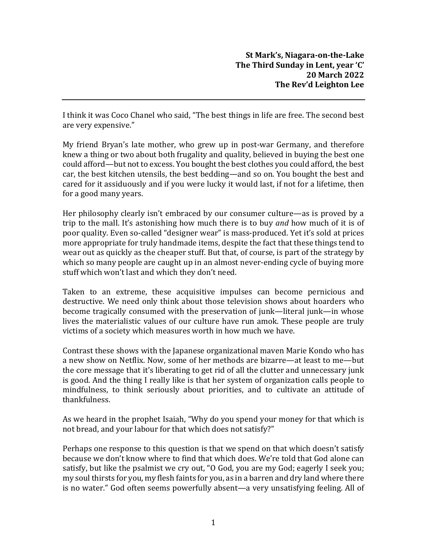I think it was Coco Chanel who said, "The best things in life are free. The second best are very expensive."

My friend Bryan's late mother, who grew up in post-war Germany, and therefore knew a thing or two about both frugality and quality, believed in buying the best one could afford—but not to excess. You bought the best clothes you could afford, the best car, the best kitchen utensils, the best bedding—and so on. You bought the best and cared for it assiduously and if you were lucky it would last, if not for a lifetime, then for a good many years.

Her philosophy clearly isn't embraced by our consumer culture—as is proved by a trip to the mall. It's astonishing how much there is to buy *and* how much of it is of poor quality. Even so-called "designer wear" is mass-produced. Yet it's sold at prices more appropriate for truly handmade items, despite the fact that these things tend to wear out as quickly as the cheaper stuff. But that, of course, is part of the strategy by which so many people are caught up in an almost never-ending cycle of buying more stuff which won't last and which they don't need.

Taken to an extreme, these acquisitive impulses can become pernicious and destructive. We need only think about those television shows about hoarders who become tragically consumed with the preservation of junk—literal junk—in whose lives the materialistic values of our culture have run amok. These people are truly victims of a society which measures worth in how much we have.

Contrast these shows with the Japanese organizational maven Marie Kondo who has a new show on Netflix. Now, some of her methods are bizarre—at least to me—but the core message that it's liberating to get rid of all the clutter and unnecessary junk is good. And the thing I really like is that her system of organization calls people to mindfulness, to think seriously about priorities, and to cultivate an attitude of thankfulness.

As we heard in the prophet Isaiah, "Why do you spend your money for that which is not bread, and your labour for that which does not satisfy?"

Perhaps one response to this question is that we spend on that which doesn't satisfy because we don't know where to find that which does. We're told that God alone can satisfy, but like the psalmist we cry out, "O God, you are my God; eagerly I seek you; my soul thirsts for you, my flesh faints for you, as in a barren and dry land where there is no water." God often seems powerfully absent—a very unsatisfying feeling. All of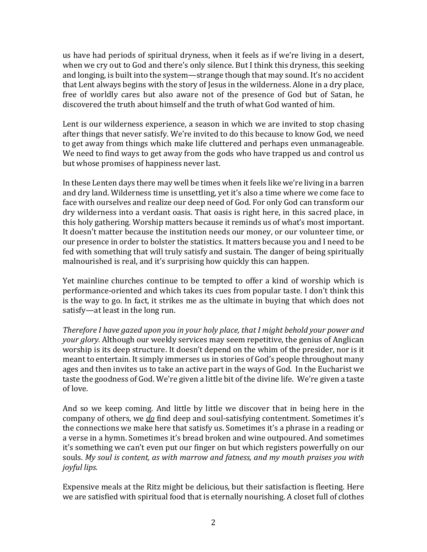us have had periods of spiritual dryness, when it feels as if we're living in a desert, when we cry out to God and there's only silence. But I think this dryness, this seeking and longing, is built into the system—strange though that may sound. It's no accident that Lent always begins with the story of Jesus in the wilderness. Alone in a dry place, free of worldly cares but also aware not of the presence of God but of Satan, he discovered the truth about himself and the truth of what God wanted of him.

Lent is our wilderness experience, a season in which we are invited to stop chasing after things that never satisfy. We're invited to do this because to know God, we need to get away from things which make life cluttered and perhaps even unmanageable. We need to find ways to get away from the gods who have trapped us and control us but whose promises of happiness never last.

In these Lenten days there may well be times when it feels like we're living in a barren and dry land. Wilderness time is unsettling, yet it's also a time where we come face to face with ourselves and realize our deep need of God. For only God can transform our dry wilderness into a verdant oasis. That oasis is right here, in this sacred place, in this holy gathering. Worship matters because it reminds us of what's most important. It doesn't matter because the institution needs our money, or our volunteer time, or our presence in order to bolster the statistics. It matters because you and I need to be fed with something that will truly satisfy and sustain. The danger of being spiritually malnourished is real, and it's surprising how quickly this can happen.

Yet mainline churches continue to be tempted to offer a kind of worship which is performance-oriented and which takes its cues from popular taste. I don't think this is the way to go. In fact, it strikes me as the ultimate in buying that which does not satisfy—at least in the long run.

*Therefore I have gazed upon you in your holy place, that I might behold your power and your glory.* Although our weekly services may seem repetitive, the genius of Anglican worship is its deep structure. It doesn't depend on the whim of the presider, nor is it meant to entertain. It simply immerses us in stories of God's people throughout many ages and then invites us to take an active part in the ways of God. In the Eucharist we taste the goodness of God. We're given a little bit of the divine life. We're given a taste of love.

And so we keep coming. And little by little we discover that in being here in the company of others, we *do* find deep and soul-satisfying contentment. Sometimes it's the connections we make here that satisfy us. Sometimes it's a phrase in a reading or a verse in a hymn. Sometimes it's bread broken and wine outpoured. And sometimes it's something we can't even put our finger on but which registers powerfully on our souls. *My soul is content, as with marrow and fatness, and my mouth praises you with joyful lips.*

Expensive meals at the Ritz might be delicious, but their satisfaction is fleeting. Here we are satisfied with spiritual food that is eternally nourishing. A closet full of clothes